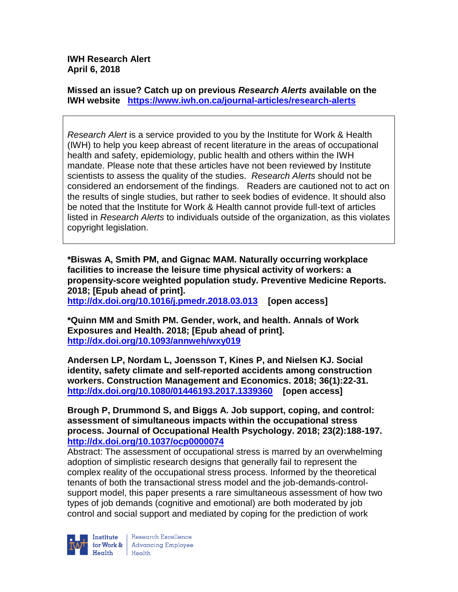**IWH Research Alert April 6, 2018**

**Missed an issue? Catch up on previous** *Research Alerts* **available on the [IWH website](http://www.iwh.on.ca/research-alerts) <https://www.iwh.on.ca/journal-articles/research-alerts>**

*Research Alert* is a service provided to you by the Institute for Work & Health (IWH) to help you keep abreast of recent literature in the areas of occupational health and safety, epidemiology, public health and others within the IWH mandate. Please note that these articles have not been reviewed by Institute scientists to assess the quality of the studies. *Research Alerts* should not be considered an endorsement of the findings. Readers are cautioned not to act on the results of single studies, but rather to seek bodies of evidence. It should also be noted that the Institute for Work & Health cannot provide full-text of articles listed in *Research Alerts* to individuals outside of the organization, as this violates copyright legislation.

**\*Biswas A, Smith PM, and Gignac MAM. Naturally occurring workplace facilities to increase the leisure time physical activity of workers: a propensity-score weighted population study. Preventive Medicine Reports. 2018; [Epub ahead of print].**

**<http://dx.doi.org/10.1016/j.pmedr.2018.03.013>[open access]** 

**\*Quinn MM and Smith PM. Gender, work, and health. Annals of Work Exposures and Health. 2018; [Epub ahead of print]. <http://dx.doi.org/10.1093/annweh/wxy019>**

**Andersen LP, Nordam L, Joensson T, Kines P, and Nielsen KJ. Social identity, safety climate and self-reported accidents among construction workers. Construction Management and Economics. 2018; 36(1):22-31. <http://dx.doi.org/10.1080/01446193.2017.1339360>[open access]**

**Brough P, Drummond S, and Biggs A. Job support, coping, and control: assessment of simultaneous impacts within the occupational stress process. Journal of Occupational Health Psychology. 2018; 23(2):188-197. <http://dx.doi.org/10.1037/ocp0000074>**

Abstract: The assessment of occupational stress is marred by an overwhelming adoption of simplistic research designs that generally fail to represent the complex reality of the occupational stress process. Informed by the theoretical tenants of both the transactional stress model and the job-demands-controlsupport model, this paper presents a rare simultaneous assessment of how two types of job demands (cognitive and emotional) are both moderated by job control and social support and mediated by coping for the prediction of work



Research Excellence for Work & | Advancing Employee Health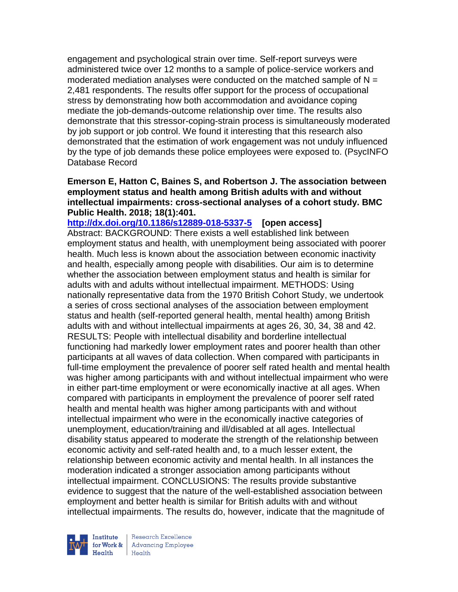engagement and psychological strain over time. Self-report surveys were administered twice over 12 months to a sample of police-service workers and moderated mediation analyses were conducted on the matched sample of  $N =$ 2,481 respondents. The results offer support for the process of occupational stress by demonstrating how both accommodation and avoidance coping mediate the job-demands-outcome relationship over time. The results also demonstrate that this stressor-coping-strain process is simultaneously moderated by job support or job control. We found it interesting that this research also demonstrated that the estimation of work engagement was not unduly influenced by the type of job demands these police employees were exposed to. (PsycINFO Database Record

#### **Emerson E, Hatton C, Baines S, and Robertson J. The association between employment status and health among British adults with and without intellectual impairments: cross-sectional analyses of a cohort study. BMC Public Health. 2018; 18(1):401.**

**<http://dx.doi.org/10.1186/s12889-018-5337-5>[open access]** Abstract: BACKGROUND: There exists a well established link between employment status and health, with unemployment being associated with poorer health. Much less is known about the association between economic inactivity and health, especially among people with disabilities. Our aim is to determine whether the association between employment status and health is similar for adults with and adults without intellectual impairment. METHODS: Using nationally representative data from the 1970 British Cohort Study, we undertook a series of cross sectional analyses of the association between employment status and health (self-reported general health, mental health) among British adults with and without intellectual impairments at ages 26, 30, 34, 38 and 42. RESULTS: People with intellectual disability and borderline intellectual functioning had markedly lower employment rates and poorer health than other participants at all waves of data collection. When compared with participants in full-time employment the prevalence of poorer self rated health and mental health was higher among participants with and without intellectual impairment who were in either part-time employment or were economically inactive at all ages. When compared with participants in employment the prevalence of poorer self rated health and mental health was higher among participants with and without intellectual impairment who were in the economically inactive categories of unemployment, education/training and ill/disabled at all ages. Intellectual disability status appeared to moderate the strength of the relationship between economic activity and self-rated health and, to a much lesser extent, the relationship between economic activity and mental health. In all instances the moderation indicated a stronger association among participants without intellectual impairment. CONCLUSIONS: The results provide substantive evidence to suggest that the nature of the well-established association between employment and better health is similar for British adults with and without intellectual impairments. The results do, however, indicate that the magnitude of



Research Excellence for Work & | Advancing Employee Health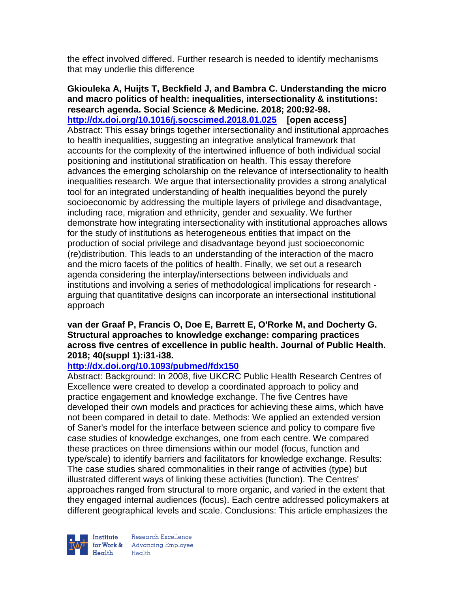the effect involved differed. Further research is needed to identify mechanisms that may underlie this difference

**Gkiouleka A, Huijts T, Beckfield J, and Bambra C. Understanding the micro and macro politics of health: inequalities, intersectionality & institutions: research agenda. Social Science & Medicine. 2018; 200:92-98. <http://dx.doi.org/10.1016/j.socscimed.2018.01.025>[open access]** Abstract: This essay brings together intersectionality and institutional approaches to health inequalities, suggesting an integrative analytical framework that accounts for the complexity of the intertwined influence of both individual social positioning and institutional stratification on health. This essay therefore advances the emerging scholarship on the relevance of intersectionality to health inequalities research. We argue that intersectionality provides a strong analytical tool for an integrated understanding of health inequalities beyond the purely socioeconomic by addressing the multiple layers of privilege and disadvantage, including race, migration and ethnicity, gender and sexuality. We further demonstrate how integrating intersectionality with institutional approaches allows for the study of institutions as heterogeneous entities that impact on the production of social privilege and disadvantage beyond just socioeconomic (re)distribution. This leads to an understanding of the interaction of the macro and the micro facets of the politics of health. Finally, we set out a research agenda considering the interplay/intersections between individuals and institutions and involving a series of methodological implications for research arguing that quantitative designs can incorporate an intersectional institutional approach

#### **van der Graaf P, Francis O, Doe E, Barrett E, O'Rorke M, and Docherty G. Structural approaches to knowledge exchange: comparing practices across five centres of excellence in public health. Journal of Public Health. 2018; 40(suppl 1):i31-i38.**

## **<http://dx.doi.org/10.1093/pubmed/fdx150>**

Abstract: Background: In 2008, five UKCRC Public Health Research Centres of Excellence were created to develop a coordinated approach to policy and practice engagement and knowledge exchange. The five Centres have developed their own models and practices for achieving these aims, which have not been compared in detail to date. Methods: We applied an extended version of Saner's model for the interface between science and policy to compare five case studies of knowledge exchanges, one from each centre. We compared these practices on three dimensions within our model (focus, function and type/scale) to identify barriers and facilitators for knowledge exchange. Results: The case studies shared commonalities in their range of activities (type) but illustrated different ways of linking these activities (function). The Centres' approaches ranged from structural to more organic, and varied in the extent that they engaged internal audiences (focus). Each centre addressed policymakers at different geographical levels and scale. Conclusions: This article emphasizes the

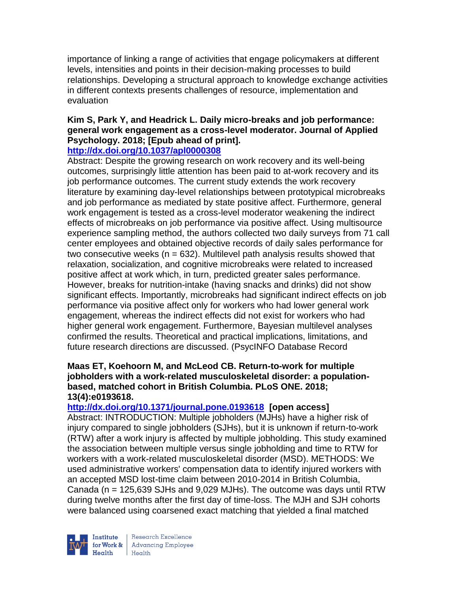importance of linking a range of activities that engage policymakers at different levels, intensities and points in their decision-making processes to build relationships. Developing a structural approach to knowledge exchange activities in different contexts presents challenges of resource, implementation and evaluation

# **Kim S, Park Y, and Headrick L. Daily micro-breaks and job performance: general work engagement as a cross-level moderator. Journal of Applied Psychology. 2018; [Epub ahead of print].**

## **<http://dx.doi.org/10.1037/apl0000308>**

Abstract: Despite the growing research on work recovery and its well-being outcomes, surprisingly little attention has been paid to at-work recovery and its job performance outcomes. The current study extends the work recovery literature by examining day-level relationships between prototypical microbreaks and job performance as mediated by state positive affect. Furthermore, general work engagement is tested as a cross-level moderator weakening the indirect effects of microbreaks on job performance via positive affect. Using multisource experience sampling method, the authors collected two daily surveys from 71 call center employees and obtained objective records of daily sales performance for two consecutive weeks ( $n = 632$ ). Multilevel path analysis results showed that relaxation, socialization, and cognitive microbreaks were related to increased positive affect at work which, in turn, predicted greater sales performance. However, breaks for nutrition-intake (having snacks and drinks) did not show significant effects. Importantly, microbreaks had significant indirect effects on job performance via positive affect only for workers who had lower general work engagement, whereas the indirect effects did not exist for workers who had higher general work engagement. Furthermore, Bayesian multilevel analyses confirmed the results. Theoretical and practical implications, limitations, and future research directions are discussed. (PsycINFO Database Record

### **Maas ET, Koehoorn M, and McLeod CB. Return-to-work for multiple jobholders with a work-related musculoskeletal disorder: a populationbased, matched cohort in British Columbia. PLoS ONE. 2018; 13(4):e0193618.**

## **<http://dx.doi.org/10.1371/journal.pone.0193618> [open access]**

Abstract: INTRODUCTION: Multiple jobholders (MJHs) have a higher risk of injury compared to single jobholders (SJHs), but it is unknown if return-to-work (RTW) after a work injury is affected by multiple jobholding. This study examined the association between multiple versus single jobholding and time to RTW for workers with a work-related musculoskeletal disorder (MSD). METHODS: We used administrative workers' compensation data to identify injured workers with an accepted MSD lost-time claim between 2010-2014 in British Columbia, Canada (n = 125,639 SJHs and 9,029 MJHs). The outcome was days until RTW during twelve months after the first day of time-loss. The MJH and SJH cohorts were balanced using coarsened exact matching that yielded a final matched



Research Excellence for Work & Advancing Employee<br>Health Health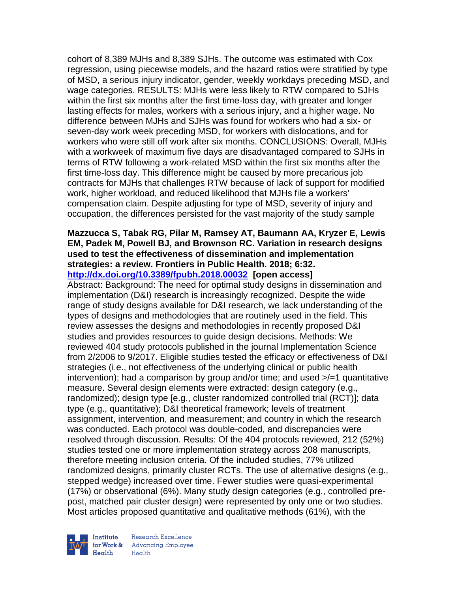cohort of 8,389 MJHs and 8,389 SJHs. The outcome was estimated with Cox regression, using piecewise models, and the hazard ratios were stratified by type of MSD, a serious injury indicator, gender, weekly workdays preceding MSD, and wage categories. RESULTS: MJHs were less likely to RTW compared to SJHs within the first six months after the first time-loss day, with greater and longer lasting effects for males, workers with a serious injury, and a higher wage. No difference between MJHs and SJHs was found for workers who had a six- or seven-day work week preceding MSD, for workers with dislocations, and for workers who were still off work after six months. CONCLUSIONS: Overall, MJHs with a workweek of maximum five days are disadvantaged compared to SJHs in terms of RTW following a work-related MSD within the first six months after the first time-loss day. This difference might be caused by more precarious job contracts for MJHs that challenges RTW because of lack of support for modified work, higher workload, and reduced likelihood that MJHs file a workers' compensation claim. Despite adjusting for type of MSD, severity of injury and occupation, the differences persisted for the vast majority of the study sample

#### **Mazzucca S, Tabak RG, Pilar M, Ramsey AT, Baumann AA, Kryzer E, Lewis EM, Padek M, Powell BJ, and Brownson RC. Variation in research designs used to test the effectiveness of dissemination and implementation strategies: a review. Frontiers in Public Health. 2018; 6:32. <http://dx.doi.org/10.3389/fpubh.2018.00032> [open access]**

Abstract: Background: The need for optimal study designs in dissemination and implementation (D&I) research is increasingly recognized. Despite the wide range of study designs available for D&I research, we lack understanding of the types of designs and methodologies that are routinely used in the field. This review assesses the designs and methodologies in recently proposed D&I studies and provides resources to guide design decisions. Methods: We reviewed 404 study protocols published in the journal Implementation Science from 2/2006 to 9/2017. Eligible studies tested the efficacy or effectiveness of D&I strategies (i.e., not effectiveness of the underlying clinical or public health intervention); had a comparison by group and/or time; and used >/=1 quantitative measure. Several design elements were extracted: design category (e.g., randomized); design type [e.g., cluster randomized controlled trial (RCT)]; data type (e.g., quantitative); D&I theoretical framework; levels of treatment assignment, intervention, and measurement; and country in which the research was conducted. Each protocol was double-coded, and discrepancies were resolved through discussion. Results: Of the 404 protocols reviewed, 212 (52%) studies tested one or more implementation strategy across 208 manuscripts, therefore meeting inclusion criteria. Of the included studies, 77% utilized randomized designs, primarily cluster RCTs. The use of alternative designs (e.g., stepped wedge) increased over time. Fewer studies were quasi-experimental (17%) or observational (6%). Many study design categories (e.g., controlled prepost, matched pair cluster design) were represented by only one or two studies. Most articles proposed quantitative and qualitative methods (61%), with the



Research Excellence for Work & | Advancing Employee Health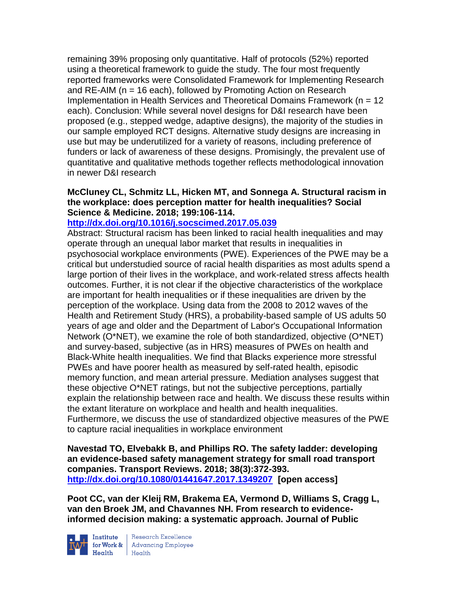remaining 39% proposing only quantitative. Half of protocols (52%) reported using a theoretical framework to guide the study. The four most frequently reported frameworks were Consolidated Framework for Implementing Research and RE-AIM (n = 16 each), followed by Promoting Action on Research Implementation in Health Services and Theoretical Domains Framework (n = 12 each). Conclusion: While several novel designs for D&I research have been proposed (e.g., stepped wedge, adaptive designs), the majority of the studies in our sample employed RCT designs. Alternative study designs are increasing in use but may be underutilized for a variety of reasons, including preference of funders or lack of awareness of these designs. Promisingly, the prevalent use of quantitative and qualitative methods together reflects methodological innovation in newer D&I research

#### **McCluney CL, Schmitz LL, Hicken MT, and Sonnega A. Structural racism in the workplace: does perception matter for health inequalities? Social Science & Medicine. 2018; 199:106-114.**

#### **<http://dx.doi.org/10.1016/j.socscimed.2017.05.039>**

Abstract: Structural racism has been linked to racial health inequalities and may operate through an unequal labor market that results in inequalities in psychosocial workplace environments (PWE). Experiences of the PWE may be a critical but understudied source of racial health disparities as most adults spend a large portion of their lives in the workplace, and work-related stress affects health outcomes. Further, it is not clear if the objective characteristics of the workplace are important for health inequalities or if these inequalities are driven by the perception of the workplace. Using data from the 2008 to 2012 waves of the Health and Retirement Study (HRS), a probability-based sample of US adults 50 years of age and older and the Department of Labor's Occupational Information Network (O\*NET), we examine the role of both standardized, objective (O\*NET) and survey-based, subjective (as in HRS) measures of PWEs on health and Black-White health inequalities. We find that Blacks experience more stressful PWEs and have poorer health as measured by self-rated health, episodic memory function, and mean arterial pressure. Mediation analyses suggest that these objective O\*NET ratings, but not the subjective perceptions, partially explain the relationship between race and health. We discuss these results within the extant literature on workplace and health and health inequalities. Furthermore, we discuss the use of standardized objective measures of the PWE to capture racial inequalities in workplace environment

**Navestad TO, Elvebakk B, and Phillips RO. The safety ladder: developing an evidence-based safety management strategy for small road transport companies. Transport Reviews. 2018; 38(3):372-393. <http://dx.doi.org/10.1080/01441647.2017.1349207> [open access]**

**Poot CC, van der Kleij RM, Brakema EA, Vermond D, Williams S, Cragg L, van den Broek JM, and Chavannes NH. From research to evidenceinformed decision making: a systematic approach. Journal of Public** 



Institute Research Excellence<br>for Work & Advancing Employee<br>Health Health  $H_{\text{eath}}$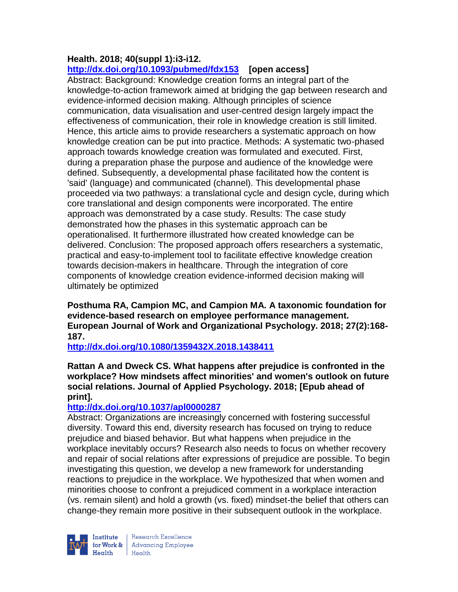#### **Health. 2018; 40(suppl 1):i3-i12. <http://dx.doi.org/10.1093/pubmed/fdx153>[open access]**

Abstract: Background: Knowledge creation forms an integral part of the knowledge-to-action framework aimed at bridging the gap between research and evidence-informed decision making. Although principles of science communication, data visualisation and user-centred design largely impact the effectiveness of communication, their role in knowledge creation is still limited. Hence, this article aims to provide researchers a systematic approach on how knowledge creation can be put into practice. Methods: A systematic two-phased approach towards knowledge creation was formulated and executed. First, during a preparation phase the purpose and audience of the knowledge were defined. Subsequently, a developmental phase facilitated how the content is 'said' (language) and communicated (channel). This developmental phase proceeded via two pathways: a translational cycle and design cycle, during which core translational and design components were incorporated. The entire approach was demonstrated by a case study. Results: The case study demonstrated how the phases in this systematic approach can be operationalised. It furthermore illustrated how created knowledge can be delivered. Conclusion: The proposed approach offers researchers a systematic, practical and easy-to-implement tool to facilitate effective knowledge creation towards decision-makers in healthcare. Through the integration of core components of knowledge creation evidence-informed decision making will ultimately be optimized

**Posthuma RA, Campion MC, and Campion MA. A taxonomic foundation for evidence-based research on employee performance management. European Journal of Work and Organizational Psychology. 2018; 27(2):168- 187.** 

**<http://dx.doi.org/10.1080/1359432X.2018.1438411>**

### **Rattan A and Dweck CS. What happens after prejudice is confronted in the workplace? How mindsets affect minorities' and women's outlook on future social relations. Journal of Applied Psychology. 2018; [Epub ahead of print].**

## **<http://dx.doi.org/10.1037/apl0000287>**

Abstract: Organizations are increasingly concerned with fostering successful diversity. Toward this end, diversity research has focused on trying to reduce prejudice and biased behavior. But what happens when prejudice in the workplace inevitably occurs? Research also needs to focus on whether recovery and repair of social relations after expressions of prejudice are possible. To begin investigating this question, we develop a new framework for understanding reactions to prejudice in the workplace. We hypothesized that when women and minorities choose to confront a prejudiced comment in a workplace interaction (vs. remain silent) and hold a growth (vs. fixed) mindset-the belief that others can change-they remain more positive in their subsequent outlook in the workplace.



Research Excellence Institute<br>
for Work & Advancing Employee<br>
Health Health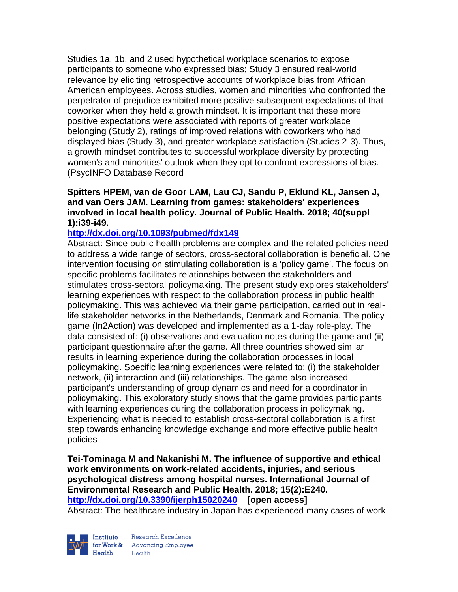Studies 1a, 1b, and 2 used hypothetical workplace scenarios to expose participants to someone who expressed bias; Study 3 ensured real-world relevance by eliciting retrospective accounts of workplace bias from African American employees. Across studies, women and minorities who confronted the perpetrator of prejudice exhibited more positive subsequent expectations of that coworker when they held a growth mindset. It is important that these more positive expectations were associated with reports of greater workplace belonging (Study 2), ratings of improved relations with coworkers who had displayed bias (Study 3), and greater workplace satisfaction (Studies 2-3). Thus, a growth mindset contributes to successful workplace diversity by protecting women's and minorities' outlook when they opt to confront expressions of bias. (PsycINFO Database Record

**Spitters HPEM, van de Goor LAM, Lau CJ, Sandu P, Eklund KL, Jansen J, and van Oers JAM. Learning from games: stakeholders' experiences involved in local health policy. Journal of Public Health. 2018; 40(suppl 1):i39-i49.** 

#### **<http://dx.doi.org/10.1093/pubmed/fdx149>**

Abstract: Since public health problems are complex and the related policies need to address a wide range of sectors, cross-sectoral collaboration is beneficial. One intervention focusing on stimulating collaboration is a 'policy game'. The focus on specific problems facilitates relationships between the stakeholders and stimulates cross-sectoral policymaking. The present study explores stakeholders' learning experiences with respect to the collaboration process in public health policymaking. This was achieved via their game participation, carried out in reallife stakeholder networks in the Netherlands, Denmark and Romania. The policy game (In2Action) was developed and implemented as a 1-day role-play. The data consisted of: (i) observations and evaluation notes during the game and (ii) participant questionnaire after the game. All three countries showed similar results in learning experience during the collaboration processes in local policymaking. Specific learning experiences were related to: (i) the stakeholder network, (ii) interaction and (iii) relationships. The game also increased participant's understanding of group dynamics and need for a coordinator in policymaking. This exploratory study shows that the game provides participants with learning experiences during the collaboration process in policymaking. Experiencing what is needed to establish cross-sectoral collaboration is a first step towards enhancing knowledge exchange and more effective public health policies

**Tei-Tominaga M and Nakanishi M. The influence of supportive and ethical work environments on work-related accidents, injuries, and serious psychological distress among hospital nurses. International Journal of Environmental Research and Public Health. 2018; 15(2):E240. <http://dx.doi.org/10.3390/ijerph15020240>[open access]** Abstract: The healthcare industry in Japan has experienced many cases of work-



Research Excellence for Work & Advancing Employee<br>Health Health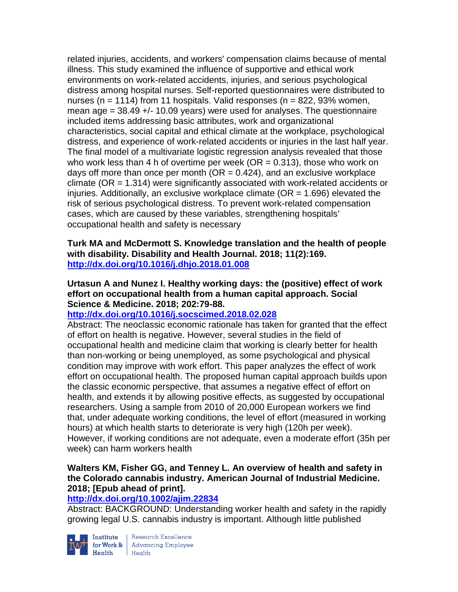related injuries, accidents, and workers' compensation claims because of mental illness. This study examined the influence of supportive and ethical work environments on work-related accidents, injuries, and serious psychological distress among hospital nurses. Self-reported questionnaires were distributed to nurses (n = 1114) from 11 hospitals. Valid responses (n =  $822,93\%$  women, mean age  $=$  38.49  $+$ /- 10.09 years) were used for analyses. The questionnaire included items addressing basic attributes, work and organizational characteristics, social capital and ethical climate at the workplace, psychological distress, and experience of work-related accidents or injuries in the last half year. The final model of a multivariate logistic regression analysis revealed that those who work less than 4 h of overtime per week ( $OR = 0.313$ ), those who work on days off more than once per month ( $OR = 0.424$ ), and an exclusive workplace climate (OR = 1.314) were significantly associated with work-related accidents or injuries. Additionally, an exclusive workplace climate ( $OR = 1.696$ ) elevated the risk of serious psychological distress. To prevent work-related compensation cases, which are caused by these variables, strengthening hospitals' occupational health and safety is necessary

**Turk MA and McDermott S. Knowledge translation and the health of people with disability. Disability and Health Journal. 2018; 11(2):169. <http://dx.doi.org/10.1016/j.dhjo.2018.01.008>**

**Urtasun A and Nunez I. Healthy working days: the (positive) effect of work effort on occupational health from a human capital approach. Social Science & Medicine. 2018; 202:79-88.** 

## **<http://dx.doi.org/10.1016/j.socscimed.2018.02.028>**

Abstract: The neoclassic economic rationale has taken for granted that the effect of effort on health is negative. However, several studies in the field of occupational health and medicine claim that working is clearly better for health than non-working or being unemployed, as some psychological and physical condition may improve with work effort. This paper analyzes the effect of work effort on occupational health. The proposed human capital approach builds upon the classic economic perspective, that assumes a negative effect of effort on health, and extends it by allowing positive effects, as suggested by occupational researchers. Using a sample from 2010 of 20,000 European workers we find that, under adequate working conditions, the level of effort (measured in working hours) at which health starts to deteriorate is very high (120h per week). However, if working conditions are not adequate, even a moderate effort (35h per week) can harm workers health

### **Walters KM, Fisher GG, and Tenney L. An overview of health and safety in the Colorado cannabis industry. American Journal of Industrial Medicine. 2018; [Epub ahead of print].**

#### **<http://dx.doi.org/10.1002/ajim.22834>**

Abstract: BACKGROUND: Understanding worker health and safety in the rapidly growing legal U.S. cannabis industry is important. Although little published



**Institute** Research Excellence<br> **for Work &** Advancing Employee<br> **Health** Health